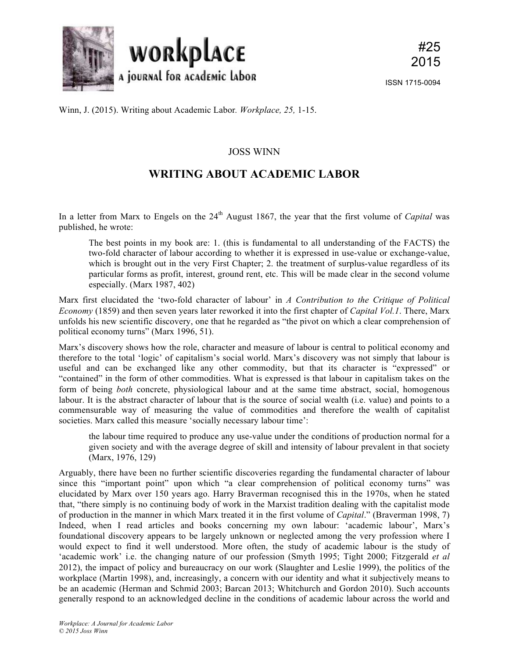

Winn, J. (2015). Writing about Academic Labor*. Workplace, 25,* 1-15.

## JOSS WINN

# **WRITING ABOUT ACADEMIC LABOR**

In a letter from Marx to Engels on the 24<sup>th</sup> August 1867, the year that the first volume of *Capital* was published, he wrote:

The best points in my book are: 1. (this is fundamental to all understanding of the FACTS) the two-fold character of labour according to whether it is expressed in use-value or exchange-value, which is brought out in the very First Chapter; 2. the treatment of surplus-value regardless of its particular forms as profit, interest, ground rent, etc. This will be made clear in the second volume especially. (Marx 1987, 402)

Marx first elucidated the 'two-fold character of labour' in *A Contribution to the Critique of Political Economy* (1859) and then seven years later reworked it into the first chapter of *Capital Vol.1*. There, Marx unfolds his new scientific discovery, one that he regarded as "the pivot on which a clear comprehension of political economy turns" (Marx 1996, 51).

Marx's discovery shows how the role, character and measure of labour is central to political economy and therefore to the total 'logic' of capitalism's social world. Marx's discovery was not simply that labour is useful and can be exchanged like any other commodity, but that its character is "expressed" or "contained" in the form of other commodities. What is expressed is that labour in capitalism takes on the form of being *both* concrete, physiological labour and at the same time abstract, social, homogenous labour. It is the abstract character of labour that is the source of social wealth (i.e. value) and points to a commensurable way of measuring the value of commodities and therefore the wealth of capitalist societies. Marx called this measure 'socially necessary labour time':

the labour time required to produce any use-value under the conditions of production normal for a given society and with the average degree of skill and intensity of labour prevalent in that society (Marx, 1976, 129)

Arguably, there have been no further scientific discoveries regarding the fundamental character of labour since this "important point" upon which "a clear comprehension of political economy turns" was elucidated by Marx over 150 years ago. Harry Braverman recognised this in the 1970s, when he stated that, "there simply is no continuing body of work in the Marxist tradition dealing with the capitalist mode of production in the manner in which Marx treated it in the first volume of *Capital*." (Braverman 1998, 7) Indeed, when I read articles and books concerning my own labour: 'academic labour', Marx's foundational discovery appears to be largely unknown or neglected among the very profession where I would expect to find it well understood. More often, the study of academic labour is the study of 'academic work' i.e. the changing nature of our profession (Smyth 1995; Tight 2000; Fitzgerald *et al* 2012), the impact of policy and bureaucracy on our work (Slaughter and Leslie 1999), the politics of the workplace (Martin 1998), and, increasingly, a concern with our identity and what it subjectively means to be an academic (Herman and Schmid 2003; Barcan 2013; Whitchurch and Gordon 2010). Such accounts generally respond to an acknowledged decline in the conditions of academic labour across the world and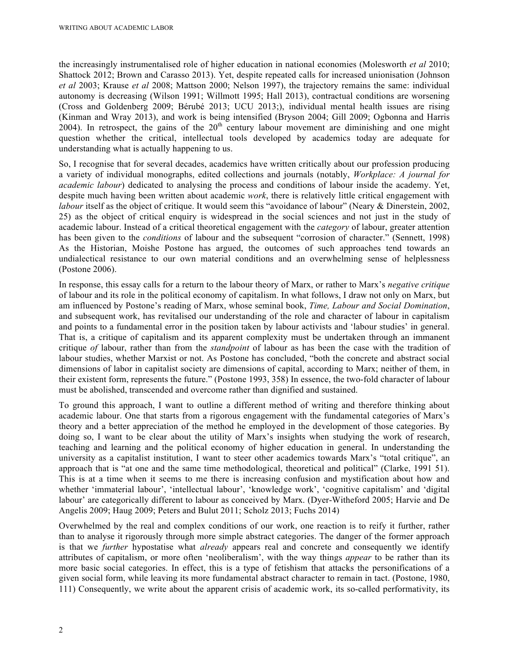the increasingly instrumentalised role of higher education in national economies (Molesworth *et al* 2010; Shattock 2012; Brown and Carasso 2013). Yet, despite repeated calls for increased unionisation (Johnson *et al* 2003; Krause *et al* 2008; Mattson 2000; Nelson 1997), the trajectory remains the same: individual autonomy is decreasing (Wilson 1991; Willmott 1995; Hall 2013), contractual conditions are worsening (Cross and Goldenberg 2009; Bérubé 2013; UCU 2013;), individual mental health issues are rising (Kinman and Wray 2013), and work is being intensified (Bryson 2004; Gill 2009; Ogbonna and Harris 2004). In retrospect, the gains of the  $20<sup>th</sup>$  century labour movement are diminishing and one might question whether the critical, intellectual tools developed by academics today are adequate for understanding what is actually happening to us.

So, I recognise that for several decades, academics have written critically about our profession producing a variety of individual monographs, edited collections and journals (notably, *Workplace: A journal for academic labour*) dedicated to analysing the process and conditions of labour inside the academy. Yet, despite much having been written about academic *work*, there is relatively little critical engagement with *labour* itself as the object of critique. It would seem this "avoidance of labour" (Neary & Dinerstein, 2002, 25) as the object of critical enquiry is widespread in the social sciences and not just in the study of academic labour. Instead of a critical theoretical engagement with the *category* of labour, greater attention has been given to the *conditions* of labour and the subsequent "corrosion of character." (Sennett, 1998) As the Historian, Moishe Postone has argued, the outcomes of such approaches tend towards an undialectical resistance to our own material conditions and an overwhelming sense of helplessness (Postone 2006).

In response, this essay calls for a return to the labour theory of Marx, or rather to Marx's *negative critique* of labour and its role in the political economy of capitalism. In what follows, I draw not only on Marx, but am influenced by Postone's reading of Marx, whose seminal book, *Time, Labour and Social Domination*, and subsequent work, has revitalised our understanding of the role and character of labour in capitalism and points to a fundamental error in the position taken by labour activists and 'labour studies' in general. That is, a critique of capitalism and its apparent complexity must be undertaken through an immanent critique *of* labour, rather than from the *standpoint* of labour as has been the case with the tradition of labour studies, whether Marxist or not. As Postone has concluded, "both the concrete and abstract social dimensions of labor in capitalist society are dimensions of capital, according to Marx; neither of them, in their existent form, represents the future." (Postone 1993, 358) In essence, the two-fold character of labour must be abolished, transcended and overcome rather than dignified and sustained.

To ground this approach, I want to outline a different method of writing and therefore thinking about academic labour. One that starts from a rigorous engagement with the fundamental categories of Marx's theory and a better appreciation of the method he employed in the development of those categories. By doing so, I want to be clear about the utility of Marx's insights when studying the work of research, teaching and learning and the political economy of higher education in general. In understanding the university as a capitalist institution, I want to steer other academics towards Marx's "total critique", an approach that is "at one and the same time methodological, theoretical and political" (Clarke, 1991 51). This is at a time when it seems to me there is increasing confusion and mystification about how and whether 'immaterial labour', 'intellectual labour', 'knowledge work', 'cognitive capitalism' and 'digital labour' are categorically different to labour as conceived by Marx. (Dyer-Witheford 2005; Harvie and De Angelis 2009; Haug 2009; Peters and Bulut 2011; Scholz 2013; Fuchs 2014)

Overwhelmed by the real and complex conditions of our work, one reaction is to reify it further, rather than to analyse it rigorously through more simple abstract categories. The danger of the former approach is that we *further* hypostatise what *already* appears real and concrete and consequently we identify attributes of capitalism, or more often 'neoliberalism', with the way things *appear* to be rather than its more basic social categories. In effect, this is a type of fetishism that attacks the personifications of a given social form, while leaving its more fundamental abstract character to remain in tact. (Postone, 1980, 111) Consequently, we write about the apparent crisis of academic work, its so-called performativity, its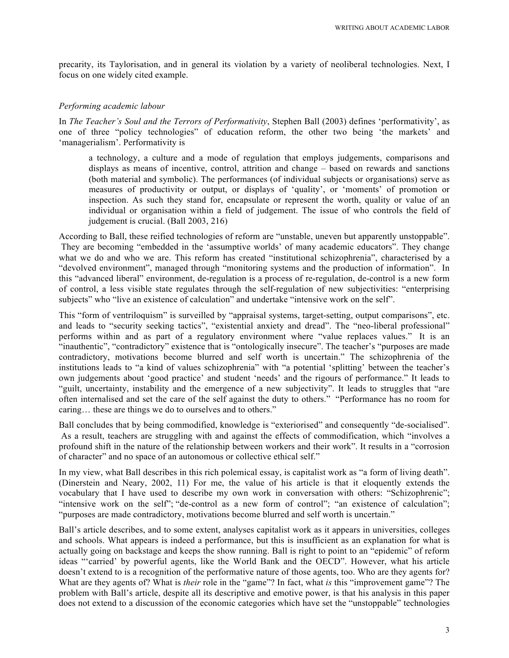precarity, its Taylorisation, and in general its violation by a variety of neoliberal technologies. Next, I focus on one widely cited example.

#### *Performing academic labour*

In *The Teacher's Soul and the Terrors of Performativity*, Stephen Ball (2003) defines 'performativity', as one of three "policy technologies" of education reform, the other two being 'the markets' and 'managerialism'. Performativity is

a technology, a culture and a mode of regulation that employs judgements, comparisons and displays as means of incentive, control, attrition and change – based on rewards and sanctions (both material and symbolic). The performances (of individual subjects or organisations) serve as measures of productivity or output, or displays of 'quality', or 'moments' of promotion or inspection. As such they stand for, encapsulate or represent the worth, quality or value of an individual or organisation within a field of judgement. The issue of who controls the field of judgement is crucial. (Ball 2003, 216)

According to Ball, these reified technologies of reform are "unstable, uneven but apparently unstoppable". They are becoming "embedded in the 'assumptive worlds' of many academic educators". They change what we do and who we are. This reform has created "institutional schizophrenia", characterised by a "devolved environment", managed through "monitoring systems and the production of information". In this "advanced liberal" environment, de-regulation is a process of re-regulation, de-control is a new form of control, a less visible state regulates through the self-regulation of new subjectivities: "enterprising subjects" who "live an existence of calculation" and undertake "intensive work on the self".

This "form of ventriloquism" is surveilled by "appraisal systems, target-setting, output comparisons", etc. and leads to "security seeking tactics", "existential anxiety and dread". The "neo-liberal professional" performs within and as part of a regulatory environment where "value replaces values." It is an "inauthentic", "contradictory" existence that is "ontologically insecure". The teacher's "purposes are made contradictory, motivations become blurred and self worth is uncertain." The schizophrenia of the institutions leads to "a kind of values schizophrenia" with "a potential 'splitting' between the teacher's own judgements about 'good practice' and student 'needs' and the rigours of performance." It leads to "guilt, uncertainty, instability and the emergence of a new subjectivity". It leads to struggles that "are often internalised and set the care of the self against the duty to others." "Performance has no room for caring… these are things we do to ourselves and to others."

Ball concludes that by being commodified, knowledge is "exteriorised" and consequently "de-socialised". As a result, teachers are struggling with and against the effects of commodification, which "involves a profound shift in the nature of the relationship between workers and their work". It results in a "corrosion of character" and no space of an autonomous or collective ethical self."

In my view, what Ball describes in this rich polemical essay, is capitalist work as "a form of living death". (Dinerstein and Neary, 2002, 11) For me, the value of his article is that it eloquently extends the vocabulary that I have used to describe my own work in conversation with others: "Schizophrenic"; "intensive work on the self"; "de-control as a new form of control"; "an existence of calculation"; "purposes are made contradictory, motivations become blurred and self worth is uncertain."

Ball's article describes, and to some extent, analyses capitalist work as it appears in universities, colleges and schools. What appears is indeed a performance, but this is insufficient as an explanation for what is actually going on backstage and keeps the show running. Ball is right to point to an "epidemic" of reform ideas "'carried' by powerful agents, like the World Bank and the OECD". However, what his article doesn't extend to is a recognition of the performative nature of those agents, too. Who are they agents for? What are they agents of? What is *their* role in the "game"? In fact, what *is* this "improvement game"? The problem with Ball's article, despite all its descriptive and emotive power, is that his analysis in this paper does not extend to a discussion of the economic categories which have set the "unstoppable" technologies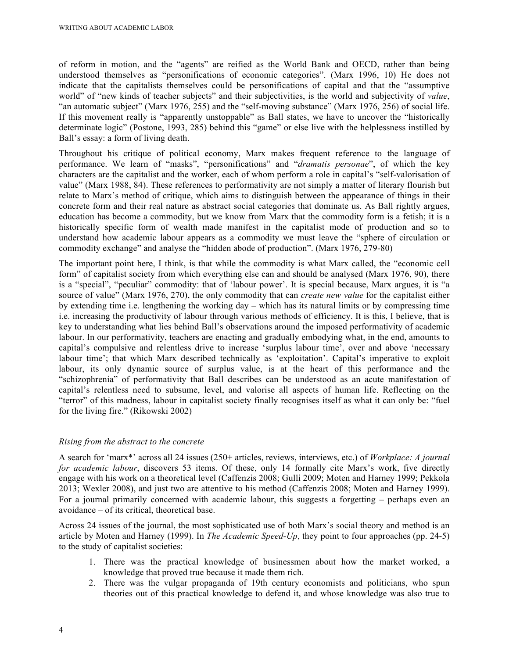of reform in motion, and the "agents" are reified as the World Bank and OECD, rather than being understood themselves as "personifications of economic categories". (Marx 1996, 10) He does not indicate that the capitalists themselves could be personifications of capital and that the "assumptive world" of "new kinds of teacher subjects" and their subjectivities, is the world and subjectivity of *value*, "an automatic subject" (Marx 1976, 255) and the "self-moving substance" (Marx 1976, 256) of social life. If this movement really is "apparently unstoppable" as Ball states, we have to uncover the "historically determinate logic" (Postone, 1993, 285) behind this "game" or else live with the helplessness instilled by Ball's essay: a form of living death.

Throughout his critique of political economy, Marx makes frequent reference to the language of performance. We learn of "masks", "personifications" and "*dramatis personae*", of which the key characters are the capitalist and the worker, each of whom perform a role in capital's "self-valorisation of value" (Marx 1988, 84). These references to performativity are not simply a matter of literary flourish but relate to Marx's method of critique, which aims to distinguish between the appearance of things in their concrete form and their real nature as abstract social categories that dominate us. As Ball rightly argues, education has become a commodity, but we know from Marx that the commodity form is a fetish; it is a historically specific form of wealth made manifest in the capitalist mode of production and so to understand how academic labour appears as a commodity we must leave the "sphere of circulation or commodity exchange" and analyse the "hidden abode of production". (Marx 1976, 279-80)

The important point here, I think, is that while the commodity is what Marx called, the "economic cell form" of capitalist society from which everything else can and should be analysed (Marx 1976, 90), there is a "special", "peculiar" commodity: that of 'labour power'. It is special because, Marx argues, it is "a source of value" (Marx 1976, 270), the only commodity that can *create new value* for the capitalist either by extending time i.e. lengthening the working day – which has its natural limits or by compressing time i.e. increasing the productivity of labour through various methods of efficiency. It is this, I believe, that is key to understanding what lies behind Ball's observations around the imposed performativity of academic labour. In our performativity, teachers are enacting and gradually embodying what, in the end, amounts to capital's compulsive and relentless drive to increase 'surplus labour time', over and above 'necessary labour time'; that which Marx described technically as 'exploitation'. Capital's imperative to exploit labour, its only dynamic source of surplus value, is at the heart of this performance and the "schizophrenia" of performativity that Ball describes can be understood as an acute manifestation of capital's relentless need to subsume, level, and valorise all aspects of human life. Reflecting on the "terror" of this madness, labour in capitalist society finally recognises itself as what it can only be: "fuel for the living fire." (Rikowski 2002)

#### *Rising from the abstract to the concrete*

A search for 'marx\*' across all 24 issues (250+ articles, reviews, interviews, etc.) of *Workplace: A journal for academic labour*, discovers 53 items. Of these, only 14 formally cite Marx's work, five directly engage with his work on a theoretical level (Caffenzis 2008; Gulli 2009; Moten and Harney 1999; Pekkola 2013; Wexler 2008), and just two are attentive to his method (Caffenzis 2008; Moten and Harney 1999). For a journal primarily concerned with academic labour, this suggests a forgetting – perhaps even an avoidance – of its critical, theoretical base.

Across 24 issues of the journal, the most sophisticated use of both Marx's social theory and method is an article by Moten and Harney (1999). In *The Academic Speed-Up*, they point to four approaches (pp. 24-5) to the study of capitalist societies:

- 1. There was the practical knowledge of businessmen about how the market worked, a knowledge that proved true because it made them rich.
- 2. There was the vulgar propaganda of 19th century economists and politicians, who spun theories out of this practical knowledge to defend it, and whose knowledge was also true to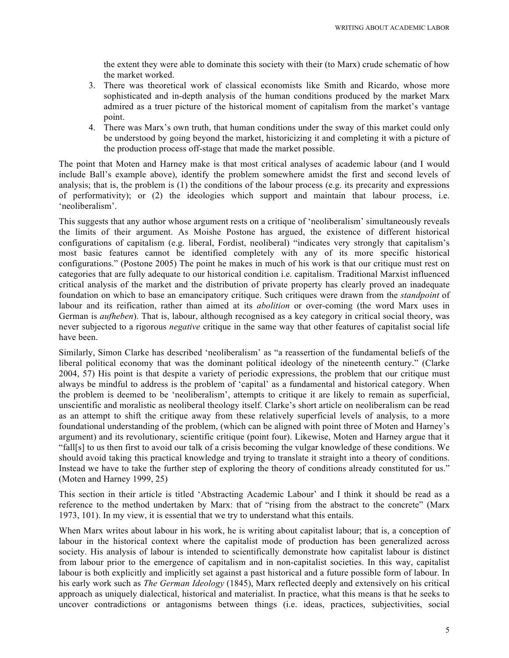the extent they were able to dominate this society with their (to Marx) crude schematic of how the market worked.

- 3. There was theoretical work of classical economists like Smith and Ricardo, whose more sophisticated and in-depth analysis of the human conditions produced by the market Marx admired as a truer picture of the historical moment of capitalism from the market's vantage point.
- 4. There was Marx's own truth, that human conditions under the sway of this market could only be understood by going beyond the market, historicizing it and completing it with a picture of the production process off-stage that made the market possible.

The point that Moten and Harney make is that most critical analyses of academic labour (and I would include Ball's example above), identify the problem somewhere amidst the first and second levels of analysis; that is, the problem is (1) the conditions of the labour process (e.g. its precarity and expressions of performativity); or (2) the ideologies which support and maintain that labour process, i.e. 'neoliberalism'.

This suggests that any author whose argument rests on a critique of 'neoliberalism' simultaneously reveals the limits of their argument. As Moishe Postone has argued, the existence of different historical configurations of capitalism (e.g. liberal, Fordist, neoliberal) "indicates very strongly that capitalism's most basic features cannot be identified completely with any of its more specific historical configurations." (Postone 2005) The point he makes in much of his work is that our critique must rest on categories that are fully adequate to our historical condition i.e. capitalism. Traditional Marxist influenced critical analysis of the market and the distribution of private property has clearly proved an inadequate foundation on which to base an emancipatory critique. Such critiques were drawn from the *standpoint* of labour and its reification, rather than aimed at its *abolition* or over-coming (the word Marx uses in German is *aufheben*). That is, labour, although recognised as a key category in critical social theory, was never subjected to a rigorous *negative* critique in the same way that other features of capitalist social life have been.

Similarly, Simon Clarke has described 'neoliberalism' as "a reassertion of the fundamental beliefs of the liberal political economy that was the dominant political ideology of the nineteenth century." (Clarke 2004, 57) His point is that despite a variety of periodic expressions, the problem that our critique must always be mindful to address is the problem of 'capital' as a fundamental and historical category. When the problem is deemed to be 'neoliberalism', attempts to critique it are likely to remain as superficial, unscientific and moralistic as neoliberal theology itself. Clarke's short article on neoliberalism can be read as an attempt to shift the critique away from these relatively superficial levels of analysis, to a more foundational understanding of the problem, (which can be aligned with point three of Moten and Harney's argument) and its revolutionary, scientific critique (point four). Likewise, Moten and Harney argue that it "fall[s] to us then first to avoid our talk of a crisis becoming the vulgar knowledge of these conditions. We should avoid taking this practical knowledge and trying to translate it straight into a theory of conditions. Instead we have to take the further step of exploring the theory of conditions already constituted for us." (Moten and Harney 1999, 25)

This section in their article is titled 'Abstracting Academic Labour' and I think it should be read as a reference to the method undertaken by Marx: that of "rising from the abstract to the concrete" (Marx 1973, 101). In my view, it is essential that we try to understand what this entails.

When Marx writes about labour in his work, he is writing about capitalist labour; that is, a conception of labour in the historical context where the capitalist mode of production has been generalized across society. His analysis of labour is intended to scientifically demonstrate how capitalist labour is distinct from labour prior to the emergence of capitalism and in non-capitalist societies. In this way, capitalist labour is both explicitly and implicitly set against a past historical and a future possible form of labour. In his early work such as *The German Ideology* (1845), Marx reflected deeply and extensively on his critical approach as uniquely dialectical, historical and materialist. In practice, what this means is that he seeks to uncover contradictions or antagonisms between things (i.e. ideas, practices, subjectivities, social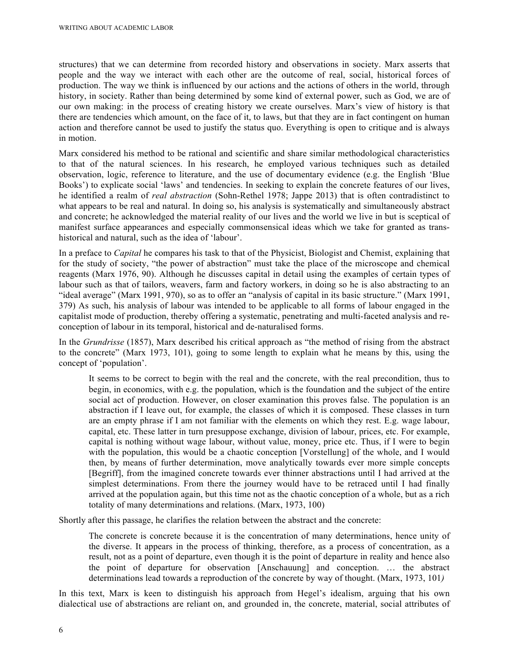structures) that we can determine from recorded history and observations in society. Marx asserts that people and the way we interact with each other are the outcome of real, social, historical forces of production. The way we think is influenced by our actions and the actions of others in the world, through history, in society. Rather than being determined by some kind of external power, such as God, we are of our own making: in the process of creating history we create ourselves. Marx's view of history is that there are tendencies which amount, on the face of it, to laws, but that they are in fact contingent on human action and therefore cannot be used to justify the status quo. Everything is open to critique and is always in motion.

Marx considered his method to be rational and scientific and share similar methodological characteristics to that of the natural sciences. In his research, he employed various techniques such as detailed observation, logic, reference to literature, and the use of documentary evidence (e.g. the English 'Blue Books') to explicate social 'laws' and tendencies. In seeking to explain the concrete features of our lives, he identified a realm of *real abstraction* (Sohn-Rethel 1978; Jappe 2013) that is often contradistinct to what appears to be real and natural. In doing so, his analysis is systematically and simultaneously abstract and concrete; he acknowledged the material reality of our lives and the world we live in but is sceptical of manifest surface appearances and especially commonsensical ideas which we take for granted as transhistorical and natural, such as the idea of 'labour'.

In a preface to *Capital* he compares his task to that of the Physicist, Biologist and Chemist, explaining that for the study of society, "the power of abstraction" must take the place of the microscope and chemical reagents (Marx 1976, 90). Although he discusses capital in detail using the examples of certain types of labour such as that of tailors, weavers, farm and factory workers, in doing so he is also abstracting to an "ideal average" (Marx 1991, 970), so as to offer an "analysis of capital in its basic structure." (Marx 1991, 379) As such, his analysis of labour was intended to be applicable to all forms of labour engaged in the capitalist mode of production, thereby offering a systematic, penetrating and multi-faceted analysis and reconception of labour in its temporal, historical and de-naturalised forms.

In the *Grundrisse* (1857), Marx described his critical approach as "the method of rising from the abstract to the concrete" (Marx 1973, 101), going to some length to explain what he means by this, using the concept of 'population'.

It seems to be correct to begin with the real and the concrete, with the real precondition, thus to begin, in economics, with e.g. the population, which is the foundation and the subject of the entire social act of production. However, on closer examination this proves false. The population is an abstraction if I leave out, for example, the classes of which it is composed. These classes in turn are an empty phrase if I am not familiar with the elements on which they rest. E.g. wage labour, capital, etc. These latter in turn presuppose exchange, division of labour, prices, etc. For example, capital is nothing without wage labour, without value, money, price etc. Thus, if I were to begin with the population, this would be a chaotic conception [Vorstellung] of the whole, and I would then, by means of further determination, move analytically towards ever more simple concepts [Begriff], from the imagined concrete towards ever thinner abstractions until I had arrived at the simplest determinations. From there the journey would have to be retraced until I had finally arrived at the population again, but this time not as the chaotic conception of a whole, but as a rich totality of many determinations and relations. (Marx, 1973, 100)

Shortly after this passage, he clarifies the relation between the abstract and the concrete:

The concrete is concrete because it is the concentration of many determinations, hence unity of the diverse. It appears in the process of thinking, therefore, as a process of concentration, as a result, not as a point of departure, even though it is the point of departure in reality and hence also the point of departure for observation [Anschauung] and conception. … the abstract determinations lead towards a reproduction of the concrete by way of thought. (Marx, 1973, 101*)*

In this text, Marx is keen to distinguish his approach from Hegel's idealism, arguing that his own dialectical use of abstractions are reliant on, and grounded in, the concrete, material, social attributes of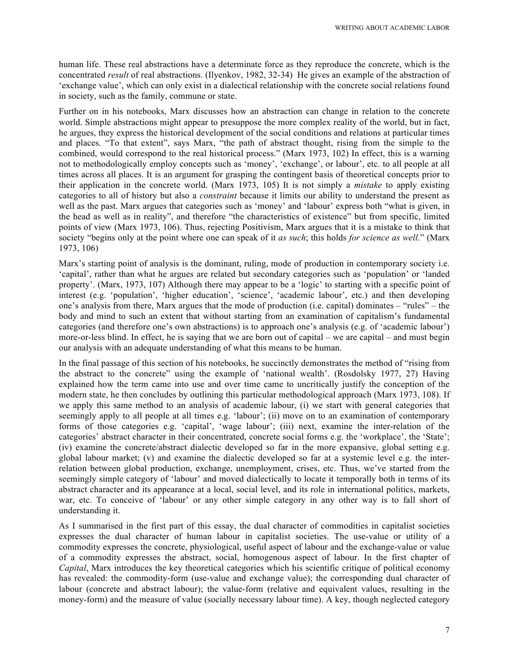human life. These real abstractions have a determinate force as they reproduce the concrete, which is the concentrated *result* of real abstractions. (Ilyenkov, 1982, 32-34) He gives an example of the abstraction of 'exchange value', which can only exist in a dialectical relationship with the concrete social relations found in society, such as the family, commune or state.

Further on in his notebooks, Marx discusses how an abstraction can change in relation to the concrete world. Simple abstractions might appear to presuppose the more complex reality of the world, but in fact, he argues, they express the historical development of the social conditions and relations at particular times and places. "To that extent", says Marx, "the path of abstract thought, rising from the simple to the combined, would correspond to the real historical process." (Marx 1973, 102) In effect, this is a warning not to methodologically employ concepts such as 'money', 'exchange', or labour', etc. to all people at all times across all places. It is an argument for grasping the contingent basis of theoretical concepts prior to their application in the concrete world. (Marx 1973, 105) It is not simply a *mistake* to apply existing categories to all of history but also a *constraint* because it limits our ability to understand the present as well as the past. Marx argues that categories such as 'money' and 'labour' express both "what is given, in the head as well as in reality", and therefore "the characteristics of existence" but from specific, limited points of view (Marx 1973, 106). Thus, rejecting Positivism, Marx argues that it is a mistake to think that society "begins only at the point where one can speak of it *as such*; this holds *for science as well*." (Marx 1973, 106)

Marx's starting point of analysis is the dominant, ruling, mode of production in contemporary society i.e. 'capital', rather than what he argues are related but secondary categories such as 'population' or 'landed property'. (Marx, 1973, 107) Although there may appear to be a 'logic' to starting with a specific point of interest (e.g. 'population', 'higher education', 'science', 'academic labour', etc.) and then developing one's analysis from there, Marx argues that the mode of production (i.e. capital) dominates – "rules" – the body and mind to such an extent that without starting from an examination of capitalism's fundamental categories (and therefore one's own abstractions) is to approach one's analysis (e.g. of 'academic labour') more-or-less blind. In effect, he is saying that we are born out of capital – we are capital – and must begin our analysis with an adequate understanding of what this means to be human.

In the final passage of this section of his notebooks, he succinctly demonstrates the method of "rising from the abstract to the concrete" using the example of 'national wealth'. (Rosdolsky 1977, 27) Having explained how the term came into use and over time came to uncritically justify the conception of the modern state, he then concludes by outlining this particular methodological approach (Marx 1973, 108). If we apply this same method to an analysis of academic labour, (i) we start with general categories that seemingly apply to all people at all times e.g. 'labour'; (ii) move on to an examination of contemporary forms of those categories e.g. 'capital', 'wage labour'; (iii) next, examine the inter-relation of the categories' abstract character in their concentrated, concrete social forms e.g. the 'workplace', the 'State'; (iv) examine the concrete/abstract dialectic developed so far in the more expansive, global setting e.g. global labour market; (v) and examine the dialectic developed so far at a systemic level e.g. the interrelation between global production, exchange, unemployment, crises, etc. Thus, we've started from the seemingly simple category of 'labour' and moved dialectically to locate it temporally both in terms of its abstract character and its appearance at a local, social level, and its role in international politics, markets, war, etc. To conceive of 'labour' or any other simple category in any other way is to fall short of understanding it.

As I summarised in the first part of this essay, the dual character of commodities in capitalist societies expresses the dual character of human labour in capitalist societies. The use-value or utility of a commodity expresses the concrete, physiological, useful aspect of labour and the exchange-value or value of a commodity expresses the abstract, social, homogenous aspect of labour. In the first chapter of *Capital*, Marx introduces the key theoretical categories which his scientific critique of political economy has revealed: the commodity-form (use-value and exchange value); the corresponding dual character of labour (concrete and abstract labour); the value-form (relative and equivalent values, resulting in the money-form) and the measure of value (socially necessary labour time). A key, though neglected category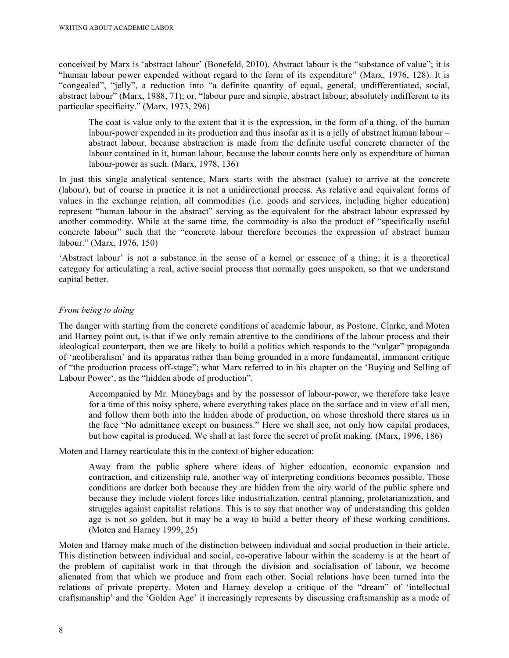conceived by Marx is 'abstract labour' (Bonefeld, 2010). Abstract labour is the "substance of value"; it is "human labour power expended without regard to the form of its expenditure" (Marx, 1976, 128). It is "congealed", "jelly", a reduction into "a definite quantity of equal, general, undifferentiated, social, abstract labour" (Marx, 1988, 71); or, "labour pure and simple, abstract labour; absolutely indifferent to its particular specificity." (Marx, 1973, 296)

The coat is value only to the extent that it is the expression, in the form of a thing, of the human labour-power expended in its production and thus insofar as it is a jelly of abstract human labour – abstract labour, because abstraction is made from the definite useful concrete character of the labour contained in it, human labour, because the labour counts here only as expenditure of human labour-power as such. (Marx, 1978, 136)

In just this single analytical sentence, Marx starts with the abstract (value) to arrive at the concrete (labour), but of course in practice it is not a unidirectional process. As relative and equivalent forms of values in the exchange relation, all commodities (i.e. goods and services, including higher education) represent "human labour in the abstract" serving as the equivalent for the abstract labour expressed by another commodity. While at the same time, the commodity is also the product of "specifically useful concrete labour" such that the "concrete labour therefore becomes the expression of abstract human labour." (Marx, 1976, 150)

'Abstract labour' is not a substance in the sense of a kernel or essence of a thing; it is a theoretical category for articulating a real, active social process that normally goes unspoken, so that we understand capital better.

### *From being to doing*

The danger with starting from the concrete conditions of academic labour, as Postone, Clarke, and Moten and Harney point out, is that if we only remain attentive to the conditions of the labour process and their ideological counterpart, then we are likely to build a politics which responds to the "vulgar" propaganda of 'neoliberalism' and its apparatus rather than being grounded in a more fundamental, immanent critique of "the production process off-stage"; what Marx referred to in his chapter on the 'Buying and Selling of Labour Power', as the "hidden abode of production".

Accompanied by Mr. Moneybags and by the possessor of labour-power, we therefore take leave for a time of this noisy sphere, where everything takes place on the surface and in view of all men, and follow them both into the hidden abode of production, on whose threshold there stares us in the face "No admittance except on business." Here we shall see, not only how capital produces, but how capital is produced. We shall at last force the secret of profit making. (Marx, 1996, 186)

Moten and Harney rearticulate this in the context of higher education:

Away from the public sphere where ideas of higher education, economic expansion and contraction, and citizenship rule, another way of interpreting conditions becomes possible. Those conditions are darker both because they are hidden from the airy world of the public sphere and because they include violent forces like industrialization, central planning, proletarianization, and struggles against capitalist relations. This is to say that another way of understanding this golden age is not so golden, but it may be a way to build a better theory of these working conditions. (Moten and Harney 1999, 25)

Moten and Harney make much of the distinction between individual and social production in their article. This distinction between individual and social, co-operative labour within the academy is at the heart of the problem of capitalist work in that through the division and socialisation of labour, we become alienated from that which we produce and from each other. Social relations have been turned into the relations of private property. Moten and Harney develop a critique of the "dream" of 'intellectual craftsmanship' and the 'Golden Age' it increasingly represents by discussing craftsmanship as a mode of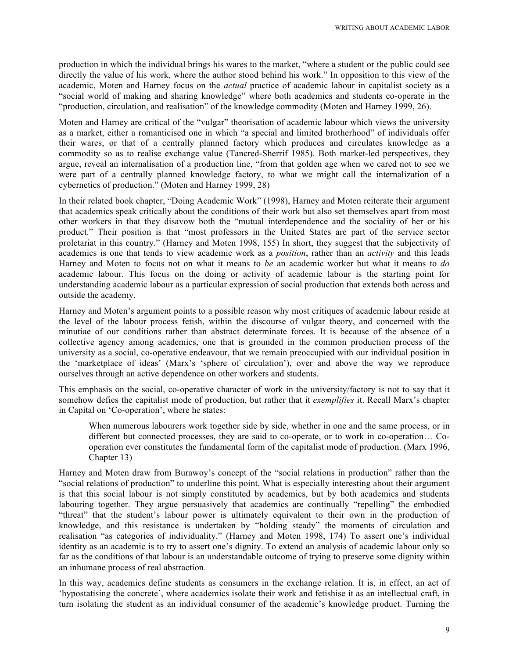production in which the individual brings his wares to the market, "where a student or the public could see directly the value of his work, where the author stood behind his work." In opposition to this view of the academic, Moten and Harney focus on the *actual* practice of academic labour in capitalist society as a "social world of making and sharing knowledge" where both academics and students co-operate in the "production, circulation, and realisation" of the knowledge commodity (Moten and Harney 1999, 26).

Moten and Harney are critical of the "vulgar" theorisation of academic labour which views the university as a market, either a romanticised one in which "a special and limited brotherhood" of individuals offer their wares, or that of a centrally planned factory which produces and circulates knowledge as a commodity so as to realise exchange value (Tancred-Sherrif 1985). Both market-led perspectives, they argue, reveal an internalisation of a production line, "from that golden age when we cared not to see we were part of a centrally planned knowledge factory, to what we might call the internalization of a cybernetics of production." (Moten and Harney 1999, 28)

In their related book chapter, "Doing Academic Work" (1998), Harney and Moten reiterate their argument that academics speak critically about the conditions of their work but also set themselves apart from most other workers in that they disavow both the "mutual interdependence and the sociality of her or his product." Their position is that "most professors in the United States are part of the service sector proletariat in this country." (Harney and Moten 1998, 155) In short, they suggest that the subjectivity of academics is one that tends to view academic work as a *position*, rather than an *activity* and this leads Harney and Moten to focus not on what it means to *be* an academic worker but what it means to *do* academic labour. This focus on the doing or activity of academic labour is the starting point for understanding academic labour as a particular expression of social production that extends both across and outside the academy.

Harney and Moten's argument points to a possible reason why most critiques of academic labour reside at the level of the labour process fetish, within the discourse of vulgar theory, and concerned with the minutiae of our conditions rather than abstract determinate forces. It is because of the absence of a collective agency among academics, one that is grounded in the common production process of the university as a social, co-operative endeavour, that we remain preoccupied with our individual position in the 'marketplace of ideas' (Marx's 'sphere of circulation'), over and above the way we reproduce ourselves through an active dependence on other workers and students.

This emphasis on the social, co-operative character of work in the university/factory is not to say that it somehow defies the capitalist mode of production, but rather that it *exemplifies* it. Recall Marx's chapter in Capital on 'Co-operation', where he states:

When numerous labourers work together side by side, whether in one and the same process, or in different but connected processes, they are said to co-operate, or to work in co-operation… Cooperation ever constitutes the fundamental form of the capitalist mode of production. (Marx 1996, Chapter 13)

Harney and Moten draw from Burawoy's concept of the "social relations in production" rather than the "social relations of production" to underline this point. What is especially interesting about their argument is that this social labour is not simply constituted by academics, but by both academics and students labouring together. They argue persuasively that academics are continually "repelling" the embodied "threat" that the student's labour power is ultimately equivalent to their own in the production of knowledge, and this resistance is undertaken by "holding steady" the moments of circulation and realisation "as categories of individuality." (Harney and Moten 1998, 174) To assert one's individual identity as an academic is to try to assert one's dignity. To extend an analysis of academic labour only so far as the conditions of that labour is an understandable outcome of trying to preserve some dignity within an inhumane process of real abstraction.

In this way, academics define students as consumers in the exchange relation. It is, in effect, an act of 'hypostatising the concrete', where academics isolate their work and fetishise it as an intellectual craft, in turn isolating the student as an individual consumer of the academic's knowledge product. Turning the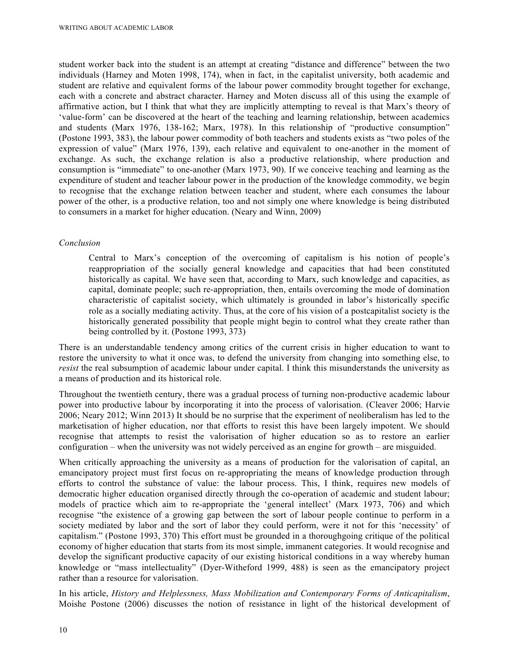student worker back into the student is an attempt at creating "distance and difference" between the two individuals (Harney and Moten 1998, 174), when in fact, in the capitalist university, both academic and student are relative and equivalent forms of the labour power commodity brought together for exchange, each with a concrete and abstract character. Harney and Moten discuss all of this using the example of affirmative action, but I think that what they are implicitly attempting to reveal is that Marx's theory of 'value-form' can be discovered at the heart of the teaching and learning relationship, between academics and students (Marx 1976, 138-162; Marx, 1978). In this relationship of "productive consumption" (Postone 1993, 383), the labour power commodity of both teachers and students exists as "two poles of the expression of value" (Marx 1976, 139), each relative and equivalent to one-another in the moment of exchange. As such, the exchange relation is also a productive relationship, where production and consumption is "immediate" to one-another (Marx 1973, 90). If we conceive teaching and learning as the expenditure of student and teacher labour power in the production of the knowledge commodity, we begin to recognise that the exchange relation between teacher and student, where each consumes the labour power of the other, is a productive relation, too and not simply one where knowledge is being distributed to consumers in a market for higher education. (Neary and Winn, 2009)

#### *Conclusion*

Central to Marx's conception of the overcoming of capitalism is his notion of people's reappropriation of the socially general knowledge and capacities that had been constituted historically as capital. We have seen that, according to Marx, such knowledge and capacities, as capital, dominate people; such re-appropriation, then, entails overcoming the mode of domination characteristic of capitalist society, which ultimately is grounded in labor's historically specific role as a socially mediating activity. Thus, at the core of his vision of a postcapitalist society is the historically generated possibility that people might begin to control what they create rather than being controlled by it. (Postone 1993, 373)

There is an understandable tendency among critics of the current crisis in higher education to want to restore the university to what it once was, to defend the university from changing into something else, to *resist* the real subsumption of academic labour under capital. I think this misunderstands the university as a means of production and its historical role.

Throughout the twentieth century, there was a gradual process of turning non-productive academic labour power into productive labour by incorporating it into the process of valorisation. (Cleaver 2006; Harvie 2006; Neary 2012; Winn 2013) It should be no surprise that the experiment of neoliberalism has led to the marketisation of higher education, nor that efforts to resist this have been largely impotent. We should recognise that attempts to resist the valorisation of higher education so as to restore an earlier configuration – when the university was not widely perceived as an engine for growth – are misguided.

When critically approaching the university as a means of production for the valorisation of capital, an emancipatory project must first focus on re-appropriating the means of knowledge production through efforts to control the substance of value: the labour process. This, I think, requires new models of democratic higher education organised directly through the co-operation of academic and student labour; models of practice which aim to re-appropriate the 'general intellect' (Marx 1973, 706) and which recognise "the existence of a growing gap between the sort of labour people continue to perform in a society mediated by labor and the sort of labor they could perform, were it not for this 'necessity' of capitalism." (Postone 1993, 370) This effort must be grounded in a thoroughgoing critique of the political economy of higher education that starts from its most simple, immanent categories. It would recognise and develop the significant productive capacity of our existing historical conditions in a way whereby human knowledge or "mass intellectuality" (Dyer-Witheford 1999, 488) is seen as the emancipatory project rather than a resource for valorisation.

In his article, *History and Helplessness, Mass Mobilization and Contemporary Forms of Anticapitalism*, Moishe Postone (2006) discusses the notion of resistance in light of the historical development of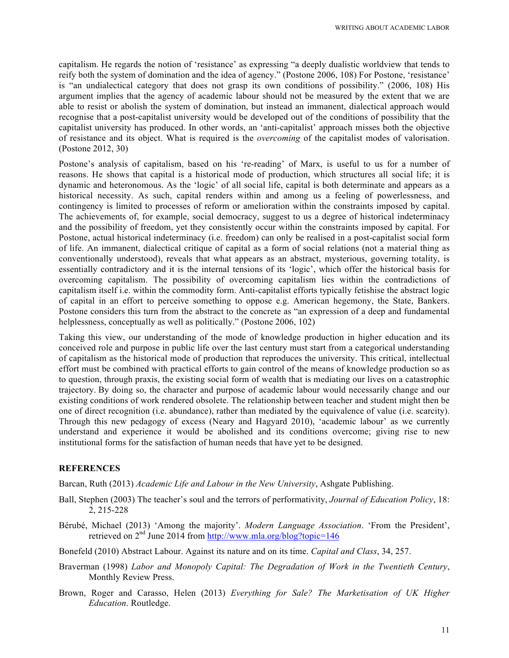capitalism. He regards the notion of 'resistance' as expressing "a deeply dualistic worldview that tends to reify both the system of domination and the idea of agency." (Postone 2006, 108) For Postone, 'resistance' is "an undialectical category that does not grasp its own conditions of possibility." (2006, 108) His argument implies that the agency of academic labour should not be measured by the extent that we are able to resist or abolish the system of domination, but instead an immanent, dialectical approach would recognise that a post-capitalist university would be developed out of the conditions of possibility that the capitalist university has produced. In other words, an 'anti-capitalist' approach misses both the objective of resistance and its object. What is required is the *overcoming* of the capitalist modes of valorisation. (Postone 2012, 30)

Postone's analysis of capitalism, based on his 're-reading' of Marx, is useful to us for a number of reasons. He shows that capital is a historical mode of production, which structures all social life; it is dynamic and heteronomous. As the 'logic' of all social life, capital is both determinate and appears as a historical necessity. As such, capital renders within and among us a feeling of powerlessness, and contingency is limited to processes of reform or amelioration within the constraints imposed by capital. The achievements of, for example, social democracy, suggest to us a degree of historical indeterminacy and the possibility of freedom, yet they consistently occur within the constraints imposed by capital. For Postone, actual historical indeterminacy (i.e. freedom) can only be realised in a post-capitalist social form of life. An immanent, dialectical critique of capital as a form of social relations (not a material thing as conventionally understood), reveals that what appears as an abstract, mysterious, governing totality, is essentially contradictory and it is the internal tensions of its 'logic', which offer the historical basis for overcoming capitalism. The possibility of overcoming capitalism lies within the contradictions of capitalism itself i.e. within the commodity form. Anti-capitalist efforts typically fetishise the abstract logic of capital in an effort to perceive something to oppose e.g. American hegemony, the State, Bankers. Postone considers this turn from the abstract to the concrete as "an expression of a deep and fundamental helplessness, conceptually as well as politically." (Postone 2006, 102)

Taking this view, our understanding of the mode of knowledge production in higher education and its conceived role and purpose in public life over the last century must start from a categorical understanding of capitalism as the historical mode of production that reproduces the university. This critical, intellectual effort must be combined with practical efforts to gain control of the means of knowledge production so as to question, through praxis, the existing social form of wealth that is mediating our lives on a catastrophic trajectory. By doing so, the character and purpose of academic labour would necessarily change and our existing conditions of work rendered obsolete. The relationship between teacher and student might then be one of direct recognition (i.e. abundance), rather than mediated by the equivalence of value (i.e. scarcity). Through this new pedagogy of excess (Neary and Hagyard 2010), 'academic labour' as we currently understand and experience it would be abolished and its conditions overcome; giving rise to new institutional forms for the satisfaction of human needs that have yet to be designed.

#### **REFERENCES**

Barcan, Ruth (2013) *Academic Life and Labour in the New University*, Ashgate Publishing.

- Ball, Stephen (2003) The teacher's soul and the terrors of performativity, *Journal of Education Policy*, 18: 2, 215-228
- Bérubé, Michael (2013) 'Among the majority'. *Modern Language Association*. 'From the President', retrieved on  $2<sup>nd</sup>$  June 2014 from http://www.mla.org/blog?topic=146
- Bonefeld (2010) Abstract Labour. Against its nature and on its time. *Capital and Class*, 34, 257.
- Braverman (1998) *Labor and Monopoly Capital: The Degradation of Work in the Twentieth Century*, Monthly Review Press.
- Brown, Roger and Carasso, Helen (2013) *Everything for Sale? The Marketisation of UK Higher Education*. Routledge.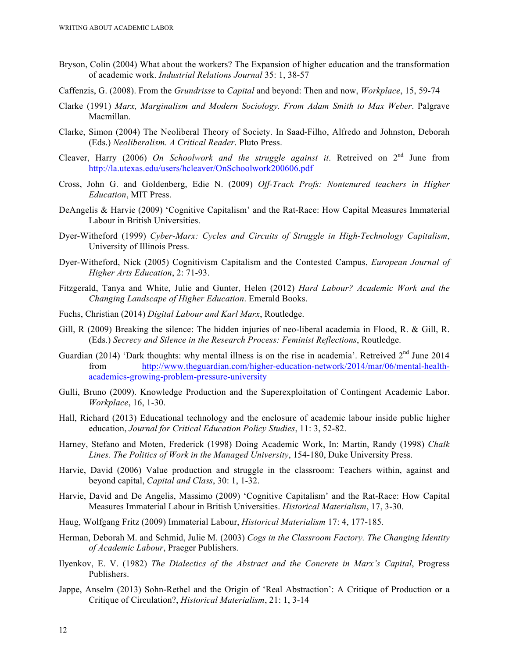- Bryson, Colin (2004) What about the workers? The Expansion of higher education and the transformation of academic work. *Industrial Relations Journal* 35: 1, 38-57
- Caffenzis, G. (2008). From the *Grundrisse* to *Capital* and beyond: Then and now, *Workplace*, 15, 59-74
- Clarke (1991) *Marx, Marginalism and Modern Sociology. From Adam Smith to Max Weber*. Palgrave Macmillan.
- Clarke, Simon (2004) The Neoliberal Theory of Society. In Saad-Filho, Alfredo and Johnston, Deborah (Eds.) *Neoliberalism. A Critical Reader*. Pluto Press.
- Cleaver, Harry (2006) *On Schoolwork and the struggle against it*. Retreived on 2<sup>nd</sup> June from http://la.utexas.edu/users/hcleaver/OnSchoolwork200606.pdf
- Cross, John G. and Goldenberg, Edie N. (2009) *Off-Track Profs: Nontenured teachers in Higher Education*, MIT Press.
- DeAngelis & Harvie (2009) 'Cognitive Capitalism' and the Rat-Race: How Capital Measures Immaterial Labour in British Universities.
- Dyer-Witheford (1999) *Cyber-Marx: Cycles and Circuits of Struggle in High-Technology Capitalism*, University of Illinois Press.
- Dyer-Witheford, Nick (2005) Cognitivism Capitalism and the Contested Campus, *European Journal of Higher Arts Education*, 2: 71-93.
- Fitzgerald, Tanya and White, Julie and Gunter, Helen (2012) *Hard Labour? Academic Work and the Changing Landscape of Higher Education*. Emerald Books.
- Fuchs, Christian (2014) *Digital Labour and Karl Marx*, Routledge.
- Gill, R (2009) Breaking the silence: The hidden injuries of neo-liberal academia in Flood, R. & Gill, R. (Eds.) *Secrecy and Silence in the Research Process: Feminist Reflections*, Routledge.
- Guardian (2014) 'Dark thoughts: why mental illness is on the rise in academia'. Retreived  $2<sup>nd</sup>$  June 2014 from http://www.theguardian.com/higher-education-network/2014/mar/06/mental-healthacademics-growing-problem-pressure-university
- Gulli, Bruno (2009). Knowledge Production and the Superexploitation of Contingent Academic Labor. *Workplace*, 16, 1-30.
- Hall, Richard (2013) Educational technology and the enclosure of academic labour inside public higher education, *Journal for Critical Education Policy Studies*, 11: 3, 52-82.
- Harney, Stefano and Moten, Frederick (1998) Doing Academic Work, In: Martin, Randy (1998) *Chalk Lines. The Politics of Work in the Managed University*, 154-180, Duke University Press.
- Harvie, David (2006) Value production and struggle in the classroom: Teachers within, against and beyond capital, *Capital and Class*, 30: 1, 1-32.
- Harvie, David and De Angelis, Massimo (2009) 'Cognitive Capitalism' and the Rat-Race: How Capital Measures Immaterial Labour in British Universities. *Historical Materialism*, 17, 3-30.
- Haug, Wolfgang Fritz (2009) Immaterial Labour, *Historical Materialism* 17: 4, 177-185.
- Herman, Deborah M. and Schmid, Julie M. (2003) *Cogs in the Classroom Factory. The Changing Identity of Academic Labour*, Praeger Publishers.
- Ilyenkov, E. V. (1982) *The Dialectics of the Abstract and the Concrete in Marx's Capital*, Progress Publishers.
- Jappe, Anselm (2013) Sohn-Rethel and the Origin of 'Real Abstraction': A Critique of Production or a Critique of Circulation?, *Historical Materialism*, 21: 1, 3-14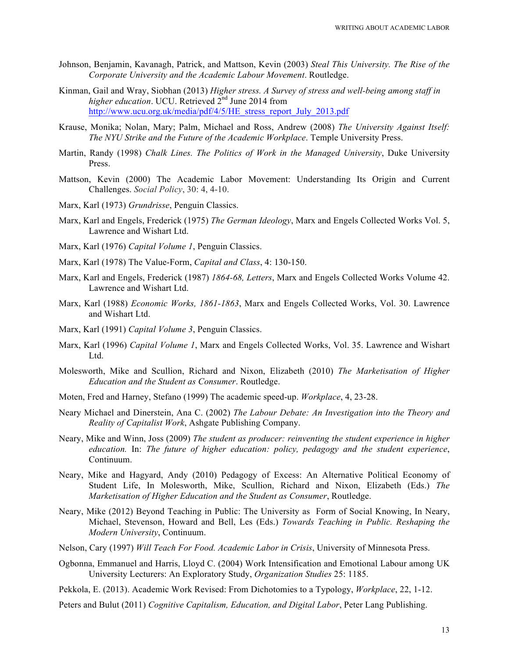- Johnson, Benjamin, Kavanagh, Patrick, and Mattson, Kevin (2003) *Steal This University. The Rise of the Corporate University and the Academic Labour Movement*. Routledge.
- Kinman, Gail and Wray, Siobhan (2013) *Higher stress. A Survey of stress and well-being among staff in higher education*. UCU. Retrieved 2nd June 2014 from http://www.ucu.org.uk/media/pdf/4/5/HE\_stress\_report\_July\_2013.pdf
- Krause, Monika; Nolan, Mary; Palm, Michael and Ross, Andrew (2008) *The University Against Itself: The NYU Strike and the Future of the Academic Workplace*. Temple University Press.
- Martin, Randy (1998) *Chalk Lines. The Politics of Work in the Managed University*, Duke University Press.
- Mattson, Kevin (2000) The Academic Labor Movement: Understanding Its Origin and Current Challenges. *Social Policy*, 30: 4, 4-10.
- Marx, Karl (1973) *Grundrisse*, Penguin Classics.
- Marx, Karl and Engels, Frederick (1975) *The German Ideology*, Marx and Engels Collected Works Vol. 5, Lawrence and Wishart Ltd.
- Marx, Karl (1976) *Capital Volume 1*, Penguin Classics.
- Marx, Karl (1978) The Value-Form, *Capital and Class*, 4: 130-150.
- Marx, Karl and Engels, Frederick (1987) *1864-68, Letters*, Marx and Engels Collected Works Volume 42. Lawrence and Wishart Ltd.
- Marx, Karl (1988) *Economic Works, 1861-1863*, Marx and Engels Collected Works, Vol. 30. Lawrence and Wishart Ltd.
- Marx, Karl (1991) *Capital Volume 3*, Penguin Classics.
- Marx, Karl (1996) *Capital Volume 1*, Marx and Engels Collected Works, Vol. 35. Lawrence and Wishart Ltd.
- Molesworth, Mike and Scullion, Richard and Nixon, Elizabeth (2010) *The Marketisation of Higher Education and the Student as Consumer*. Routledge.
- Moten, Fred and Harney, Stefano (1999) The academic speed-up. *Workplace*, 4, 23-28.
- Neary Michael and Dinerstein, Ana C. (2002) *The Labour Debate: An Investigation into the Theory and Reality of Capitalist Work*, Ashgate Publishing Company.
- Neary, Mike and Winn, Joss (2009) *The student as producer: reinventing the student experience in higher education.* In: *The future of higher education: policy, pedagogy and the student experience*, Continuum.
- Neary, Mike and Hagyard, Andy (2010) Pedagogy of Excess: An Alternative Political Economy of Student Life, In Molesworth, Mike, Scullion, Richard and Nixon, Elizabeth (Eds.) *The Marketisation of Higher Education and the Student as Consumer*, Routledge.
- Neary, Mike (2012) Beyond Teaching in Public: The University as Form of Social Knowing, In Neary, Michael, Stevenson, Howard and Bell, Les (Eds.) *Towards Teaching in Public. Reshaping the Modern University*, Continuum.
- Nelson, Cary (1997) *Will Teach For Food. Academic Labor in Crisis*, University of Minnesota Press.
- Ogbonna, Emmanuel and Harris, Lloyd C. (2004) Work Intensification and Emotional Labour among UK University Lecturers: An Exploratory Study, *Organization Studies* 25: 1185.
- Pekkola, E. (2013). Academic Work Revised: From Dichotomies to a Typology, *Workplace*, 22, 1-12.
- Peters and Bulut (2011) *Cognitive Capitalism, Education, and Digital Labor*, Peter Lang Publishing.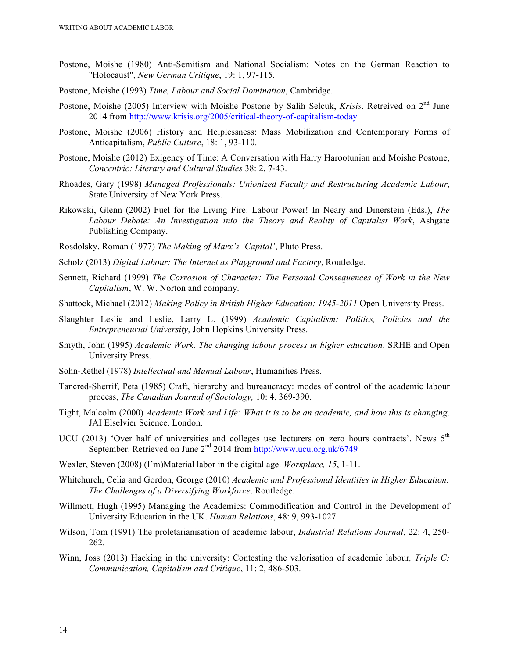- Postone, Moishe (1980) Anti-Semitism and National Socialism: Notes on the German Reaction to "Holocaust", *New German Critique*, 19: 1, 97-115.
- Postone, Moishe (1993) *Time, Labour and Social Domination*, Cambridge.
- Postone, Moishe (2005) Interview with Moishe Postone by Salih Selcuk, *Krisis*. Retreived on 2<sup>nd</sup> June 2014 from http://www.krisis.org/2005/critical-theory-of-capitalism-today
- Postone, Moishe (2006) History and Helplessness: Mass Mobilization and Contemporary Forms of Anticapitalism, *Public Culture*, 18: 1, 93-110.
- Postone, Moishe (2012) Exigency of Time: A Conversation with Harry Harootunian and Moishe Postone, *Concentric: Literary and Cultural Studies* 38: 2, 7-43.
- Rhoades, Gary (1998) *Managed Professionals: Unionized Faculty and Restructuring Academic Labour*, State University of New York Press.
- Rikowski, Glenn (2002) Fuel for the Living Fire: Labour Power! In Neary and Dinerstein (Eds.), *The Labour Debate: An Investigation into the Theory and Reality of Capitalist Work*, Ashgate Publishing Company.
- Rosdolsky, Roman (1977) *The Making of Marx's 'Capital'*, Pluto Press.
- Scholz (2013) *Digital Labour: The Internet as Playground and Factory*, Routledge.
- Sennett, Richard (1999) *The Corrosion of Character: The Personal Consequences of Work in the New Capitalism*, W. W. Norton and company.
- Shattock, Michael (2012) *Making Policy in British Higher Education: 1945-2011* Open University Press.
- Slaughter Leslie and Leslie, Larry L. (1999) *Academic Capitalism: Politics, Policies and the Entrepreneurial University*, John Hopkins University Press.
- Smyth, John (1995) *Academic Work. The changing labour process in higher education*. SRHE and Open University Press.
- Sohn-Rethel (1978) *Intellectual and Manual Labour*, Humanities Press.
- Tancred-Sherrif, Peta (1985) Craft, hierarchy and bureaucracy: modes of control of the academic labour process, *The Canadian Journal of Sociology,* 10: 4, 369-390.
- Tight, Malcolm (2000) *Academic Work and Life: What it is to be an academic, and how this is changing*. JAI Elselvier Science. London.
- UCU (2013) 'Over half of universities and colleges use lecturers on zero hours contracts'. News  $5<sup>th</sup>$ September. Retrieved on June 2<sup>nd</sup> 2014 from http://www.ucu.org.uk/6749
- Wexler, Steven (2008) (I'm)Material labor in the digital age. *Workplace, 15*, 1-11.
- Whitchurch, Celia and Gordon, George (2010) *Academic and Professional Identities in Higher Education: The Challenges of a Diversifying Workforce*. Routledge.
- Willmott, Hugh (1995) Managing the Academics: Commodification and Control in the Development of University Education in the UK. *Human Relations*, 48: 9, 993-1027.
- Wilson, Tom (1991) The proletarianisation of academic labour, *Industrial Relations Journal*, 22: 4, 250- 262.
- Winn, Joss (2013) Hacking in the university: Contesting the valorisation of academic labour*, Triple C: Communication, Capitalism and Critique*, 11: 2, 486-503.